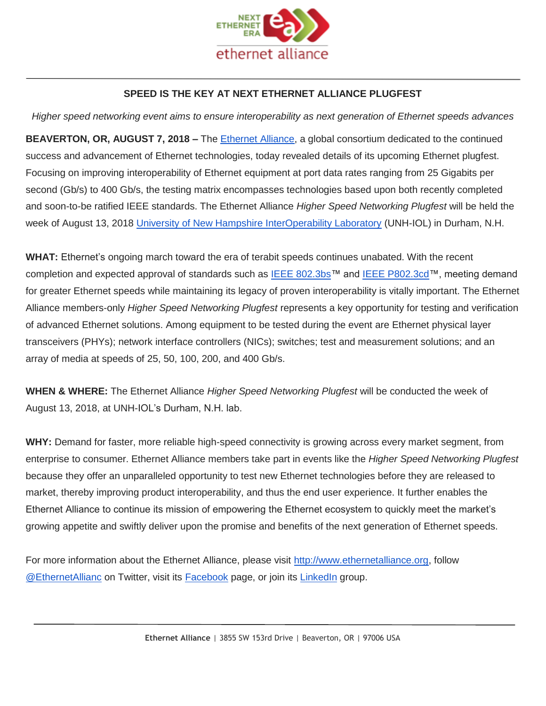

## **SPEED IS THE KEY AT NEXT ETHERNET ALLIANCE PLUGFEST**

*Higher speed networking event aims to ensure interoperability as next generation of Ethernet speeds advances*

**BEAVERTON, OR, AUGUST 7, 2018 –** Th[e](http://bit.ly/EA-HSNPlugfestAlert) [Ethernet Alliance,](http://bit.ly/EA-HSNPlugfestAlert) a global consortium dedicated to the continued success and advancement of Ethernet technologies, today revealed details of its upcoming Ethernet plugfest. Focusing on improving interoperability of Ethernet equipment at port data rates ranging from 25 Gigabits per second (Gb/s) to 400 Gb/s, the testing matrix encompasses technologies based upon both recently completed and soon-to-be ratified IEEE standards. The Ethernet Alliance *Higher Speed Networking Plugfest* will be held the week of August 13, 201[8](http://www.iol.unh.edu/) [University of New Hampshire InterOperability Laboratory](http://www.iol.unh.edu/) (UNH-IOL) in Durham, N.H.

**WHAT:** Ethernet's ongoing march toward the era of terabit speeds continues unabated. With the recent completion and expected approval of standards such as [IEEE 802.3bs™](http://standards.ieee.org/findstds/standard/802.3bs-2017.html) an[d](http://standards.ieee.org/develop/project/802.3cd.html) [IEEE P802.3cd™](http://standards.ieee.org/develop/project/802.3cd.html), meeting demand for greater Ethernet speeds while maintaining its legacy of proven interoperability is vitally important. The Ethernet Alliance members-only *Higher Speed Networking Plugfest* represents a key opportunity for testing and verification of advanced Ethernet solutions. Among equipment to be tested during the event are Ethernet physical layer transceivers (PHYs); network interface controllers (NICs); switches; test and measurement solutions; and an array of media at speeds of 25, 50, 100, 200, and 400 Gb/s.

**WHEN & WHERE:** The Ethernet Alliance *Higher Speed Networking Plugfest* will be conducted the week of August 13, 2018, at UNH-IOL's Durham, N.H. lab.

**WHY:** Demand for faster, more reliable high-speed connectivity is growing across every market segment, from enterprise to consumer. Ethernet Alliance members take part in events like the *Higher Speed Networking Plugfest* because they offer an unparalleled opportunity to test new Ethernet technologies before they are released to market, thereby improving product interoperability, and thus the end user experience. It further enables the Ethernet Alliance to continue its mission of empowering the Ethernet ecosystem to quickly meet the market's growing appetite and swiftly deliver upon the promise and benefits of the next generation of Ethernet speeds.

For more information about the Ethernet Alliance, please visi[t](http://bit.ly/EA-HSNPlugfestAlert) [http://www.ethernetalliance.org,](http://bit.ly/EA-HSNPlugfestAlert) follo[w](http://twitter.com/EthernetAllianc) [@EthernetAllianc](http://twitter.com/EthernetAllianc) on Twitter, visit it[s](http://bit.ly/EAFacebook) [Facebook](http://bit.ly/EAFacebook) page, or join it[s](http://bit.ly/EA-LinkedIn) [LinkedIn](http://bit.ly/EA-LinkedIn) group.